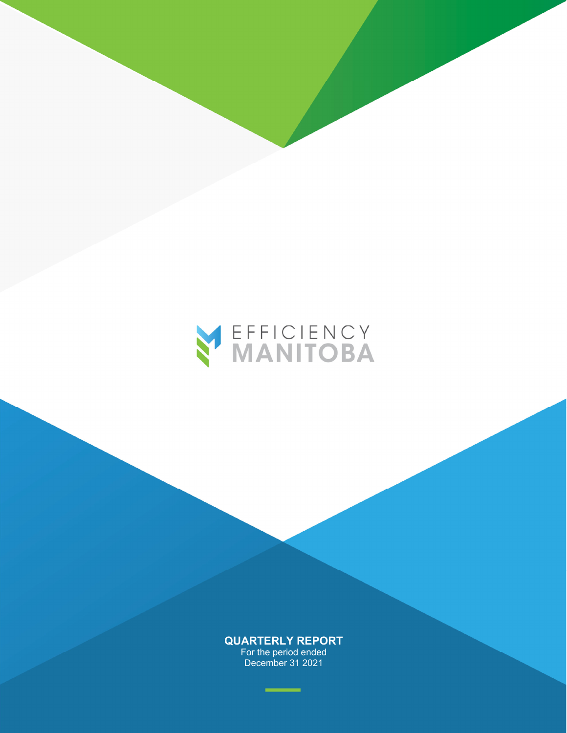

For the period ended December 31 2021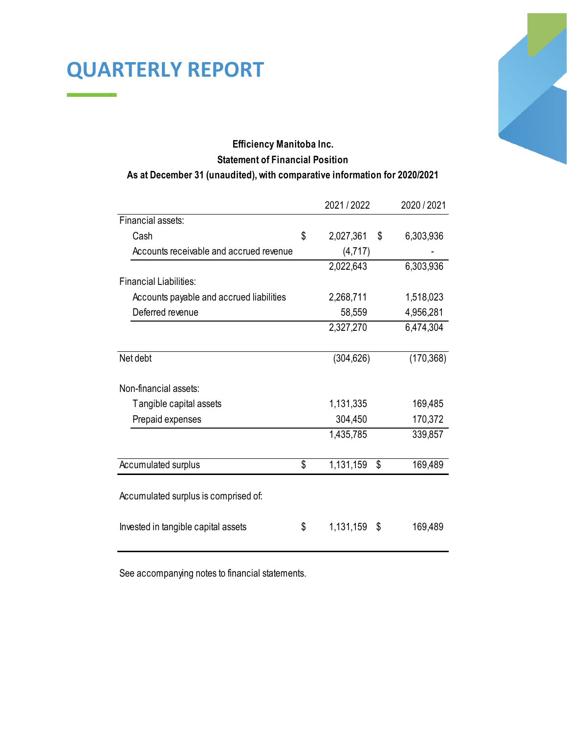### **Efficiency Manitoba Inc. Statement of Financial Position As at December 31 (unaudited), with comparative information for 2020/2021**

|                                          | 2021/2022             | 2020 / 2021 |
|------------------------------------------|-----------------------|-------------|
| Financial assets:                        |                       |             |
| Cash                                     | \$<br>2,027,361<br>\$ | 6,303,936   |
| Accounts receivable and accrued revenue  | (4,717)               |             |
|                                          | 2,022,643             | 6,303,936   |
| <b>Financial Liabilities:</b>            |                       |             |
| Accounts payable and accrued liabilities | 2,268,711             | 1,518,023   |
| Deferred revenue                         | 58,559                | 4,956,281   |
|                                          | 2,327,270             | 6,474,304   |
| Net debt                                 | (304, 626)            | (170, 368)  |
| Non-financial assets:                    |                       |             |
| Tangible capital assets                  | 1,131,335             | 169,485     |
| Prepaid expenses                         | 304,450               | 170,372     |
|                                          | 1,435,785             | 339,857     |
| Accumulated surplus                      | \$<br>1,131,159<br>\$ | 169,489     |
| Accumulated surplus is comprised of:     |                       |             |
| Invested in tangible capital assets      | \$<br>1,131,159<br>\$ | 169,489     |

See accompanying notes to financial statements.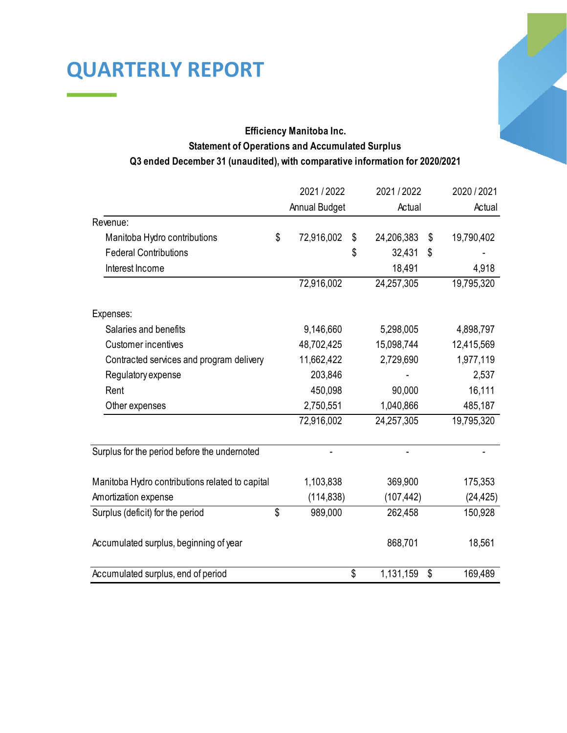### **Efficiency Manitoba Inc. Statement of Operations and Accumulated Surplus Q3 ended December 31 (unaudited), with comparative information for 2020/2021**

|                                                 | 2021/2022            |    | 2021/2022  |    | 2020 / 2021 |  |
|-------------------------------------------------|----------------------|----|------------|----|-------------|--|
|                                                 | <b>Annual Budget</b> |    | Actual     |    | Actual      |  |
| Revenue:                                        |                      |    |            |    |             |  |
| Manitoba Hydro contributions                    | \$<br>72,916,002     | \$ | 24,206,383 | \$ | 19,790,402  |  |
| <b>Federal Contributions</b>                    |                      | \$ | 32,431     | \$ |             |  |
| Interest Income                                 |                      |    | 18,491     |    | 4,918       |  |
|                                                 | 72,916,002           |    | 24,257,305 |    | 19,795,320  |  |
| Expenses:                                       |                      |    |            |    |             |  |
| Salaries and benefits                           | 9,146,660            |    | 5,298,005  |    | 4,898,797   |  |
| <b>Customer incentives</b>                      | 48,702,425           |    | 15,098,744 |    | 12,415,569  |  |
| Contracted services and program delivery        | 11,662,422           |    | 2,729,690  |    | 1,977,119   |  |
| Regulatory expense                              | 203,846              |    |            |    | 2,537       |  |
| Rent                                            | 450,098              |    | 90,000     |    | 16,111      |  |
| Other expenses                                  | 2,750,551            |    | 1,040,866  |    | 485,187     |  |
|                                                 | 72,916,002           |    | 24,257,305 |    | 19,795,320  |  |
| Surplus for the period before the undernoted    |                      |    |            |    |             |  |
| Manitoba Hydro contributions related to capital | 1,103,838            |    | 369,900    |    | 175,353     |  |
| Amortization expense                            | (114, 838)           |    | (107, 442) |    | (24, 425)   |  |
| Surplus (deficit) for the period                | \$<br>989,000        |    | 262,458    |    | 150,928     |  |
| Accumulated surplus, beginning of year          |                      |    | 868,701    |    | 18,561      |  |
| Accumulated surplus, end of period              |                      | \$ | 1,131,159  | \$ | 169,489     |  |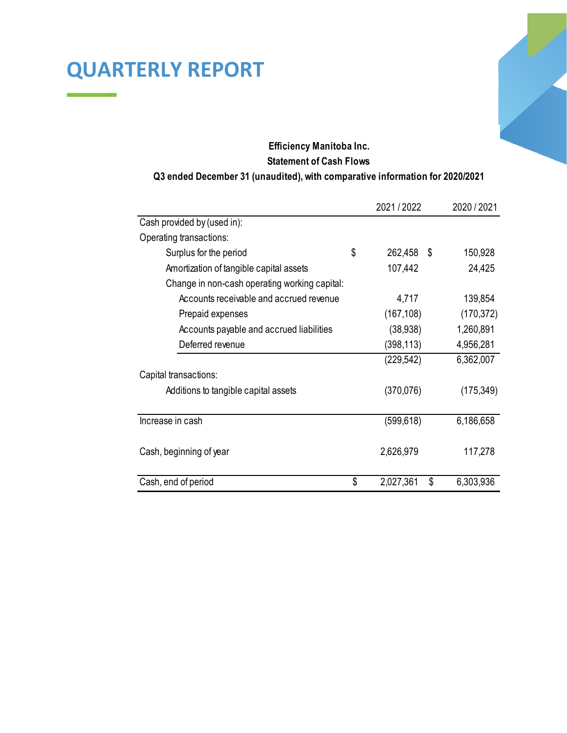### **Efficiency Manitoba Inc. Statement of Cash Flows**

#### **Q3 ended December 31 (unaudited), with comparative information for 2020/2021**

|                                               | 2021/2022             | 2020 / 2021 |
|-----------------------------------------------|-----------------------|-------------|
| Cash provided by (used in):                   |                       |             |
| Operating transactions:                       |                       |             |
| Surplus for the period                        | \$<br>262,458<br>\$   | 150,928     |
| Amortization of tangible capital assets       | 107,442               | 24,425      |
| Change in non-cash operating working capital: |                       |             |
| Accounts receivable and accrued revenue       | 4,717                 | 139,854     |
| Prepaid expenses                              | (167, 108)            | (170, 372)  |
| Accounts payable and accrued liabilities      | (38, 938)             | 1,260,891   |
| Deferred revenue                              | (398,113)             | 4,956,281   |
|                                               | (229,542)             | 6,362,007   |
| Capital transactions:                         |                       |             |
| Additions to tangible capital assets          | (370, 076)            | (175, 349)  |
|                                               |                       |             |
| Increase in cash                              | (599,618)             | 6,186,658   |
|                                               |                       |             |
| Cash, beginning of year                       | 2,626,979             | 117,278     |
|                                               |                       |             |
| Cash, end of period                           | \$<br>\$<br>2,027,361 | 6,303,936   |